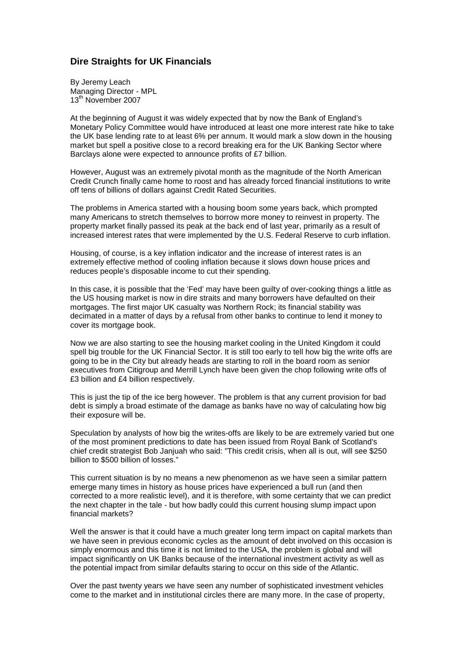## **Dire Straights for UK Financials**

By Jeremy Leach Managing Director - MPL 13<sup>th</sup> November 2007

At the beginning of August it was widely expected that by now the Bank of England's Monetary Policy Committee would have introduced at least one more interest rate hike to take the UK base lending rate to at least 6% per annum. It would mark a slow down in the housing market but spell a positive close to a record breaking era for the UK Banking Sector where Barclays alone were expected to announce profits of £7 billion.

However, August was an extremely pivotal month as the magnitude of the North American Credit Crunch finally came home to roost and has already forced financial institutions to write off tens of billions of dollars against Credit Rated Securities.

The problems in America started with a housing boom some years back, which prompted many Americans to stretch themselves to borrow more money to reinvest in property. The property market finally passed its peak at the back end of last year, primarily as a result of increased interest rates that were implemented by the U.S. Federal Reserve to curb inflation.

Housing, of course, is a key inflation indicator and the increase of interest rates is an extremely effective method of cooling inflation because it slows down house prices and reduces people's disposable income to cut their spending.

In this case, it is possible that the 'Fed' may have been guilty of over-cooking things a little as the US housing market is now in dire straits and many borrowers have defaulted on their mortgages. The first major UK casualty was Northern Rock; its financial stability was decimated in a matter of days by a refusal from other banks to continue to lend it money to cover its mortgage book.

Now we are also starting to see the housing market cooling in the United Kingdom it could spell big trouble for the UK Financial Sector. It is still too early to tell how big the write offs are going to be in the City but already heads are starting to roll in the board room as senior executives from Citigroup and Merrill Lynch have been given the chop following write offs of £3 billion and £4 billion respectively.

This is just the tip of the ice berg however. The problem is that any current provision for bad debt is simply a broad estimate of the damage as banks have no way of calculating how big their exposure will be.

Speculation by analysts of how big the writes-offs are likely to be are extremely varied but one of the most prominent predictions to date has been issued from Royal Bank of Scotland's chief credit strategist Bob Janjuah who said: "This credit crisis, when all is out, will see \$250 billion to \$500 billion of losses."

This current situation is by no means a new phenomenon as we have seen a similar pattern emerge many times in history as house prices have experienced a bull run (and then corrected to a more realistic level), and it is therefore, with some certainty that we can predict the next chapter in the tale - but how badly could this current housing slump impact upon financial markets?

Well the answer is that it could have a much greater long term impact on capital markets than we have seen in previous economic cycles as the amount of debt involved on this occasion is simply enormous and this time it is not limited to the USA, the problem is global and will impact significantly on UK Banks because of the international investment activity as well as the potential impact from similar defaults staring to occur on this side of the Atlantic.

Over the past twenty years we have seen any number of sophisticated investment vehicles come to the market and in institutional circles there are many more. In the case of property,